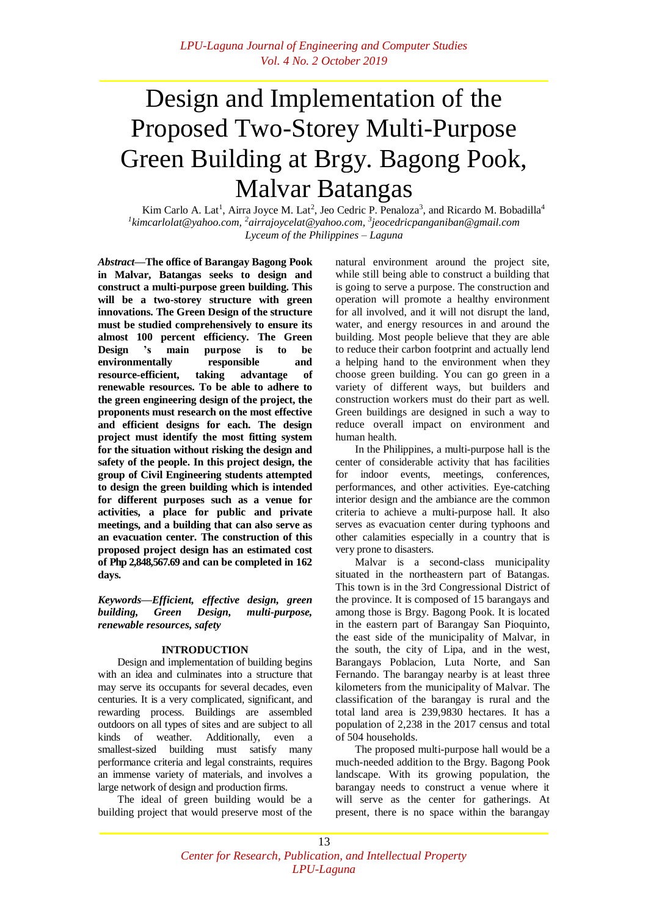# Design and Implementation of the Proposed Two-Storey Multi-Purpose Green Building at Brgy. Bagong Pook, Malvar Batangas

Kim Carlo A. Lat<sup>1</sup>, Airra Joyce M. Lat<sup>2</sup>, Jeo Cedric P. Penaloza<sup>3</sup>, and Ricardo M. Bobadilla<sup>4</sup> *1 [kimcarlolat@yahoo.com,](mailto:1glennchristopherlambino@gmail.com,) <sup>2</sup>[airrajoycelat@yahoo.com,](mailto:2ranlinatoc@gmail.com,) <sup>3</sup> [jeocedricpanganiban@gmail.com](mailto:3jamesmatthewlumbres@gmail.com) Lyceum of the Philippines – Laguna*

*Abstract***—The office of Barangay Bagong Pook in Malvar, Batangas seeks to design and construct a multi-purpose green building. This will be a two-storey structure with green innovations. The Green Design of the structure must be studied comprehensively to ensure its almost 100 percent efficiency. The Green Design 's main purpose is to be environmentally responsible and resource-efficient, taking advantage of renewable resources. To be able to adhere to the green engineering design of the project, the proponents must research on the most effective and efficient designs for each. The design project must identify the most fitting system for the situation without risking the design and safety of the people. In this project design, the group of Civil Engineering students attempted to design the green building which is intended for different purposes such as a venue for activities, a place for public and private meetings, and a building that can also serve as an evacuation center. The construction of this proposed project design has an estimated cost of Php 2,848,567.69 and can be completed in 162 days.**

*Keywords—Efficient, effective design, green building, Green Design, multi-purpose, renewable resources, safety*

# **INTRODUCTION**

Design and implementation of building begins with an idea and culminates into a structure that may serve its occupants for several decades, even centuries. It is a very complicated, significant, and rewarding process. Buildings are assembled outdoors on all types of sites and are subject to all kinds of weather. Additionally, even a smallest-sized building must satisfy many performance criteria and legal constraints, requires an immense variety of materials, and involves a large network of design and production firms.

The ideal of green building would be a building project that would preserve most of the natural environment around the project site, while still being able to construct a building that is going to serve a purpose. The construction and operation will promote a healthy environment for all involved, and it will not disrupt the land, water, and energy resources in and around the building. Most people believe that they are able to reduce their carbon footprint and actually lend a helping hand to the environment when they choose green building. You can go green in a variety of different ways, but builders and construction workers must do their part as well. Green buildings are designed in such a way to reduce overall impact on environment and human health.

In the Philippines, a multi-purpose hall is the center of considerable activity that has facilities for indoor events, meetings, conferences, performances, and other activities. Eye-catching interior design and the ambiance are the common criteria to achieve a multi-purpose hall. It also serves as evacuation center during typhoons and other calamities especially in a country that is very prone to disasters.

Malvar is a second-class municipality situated in the northeastern part of Batangas. This town is in the 3rd Congressional District of the province. It is composed of 15 barangays and among those is Brgy. Bagong Pook. It is located in the eastern part of Barangay San Pioquinto, the east side of the municipality of Malvar, in the south, the city of Lipa, and in the west, Barangays Poblacion, Luta Norte, and San Fernando. The barangay nearby is at least three kilometers from the municipality of Malvar. The classification of the barangay is rural and the total land area is 239,9830 hectares. It has a population of 2,238 in the 2017 census and total of 504 households.

The proposed multi-purpose hall would be a much-needed addition to the Brgy. Bagong Pook landscape. With its growing population, the barangay needs to construct a venue where it will serve as the center for gatherings. At present, there is no space within the barangay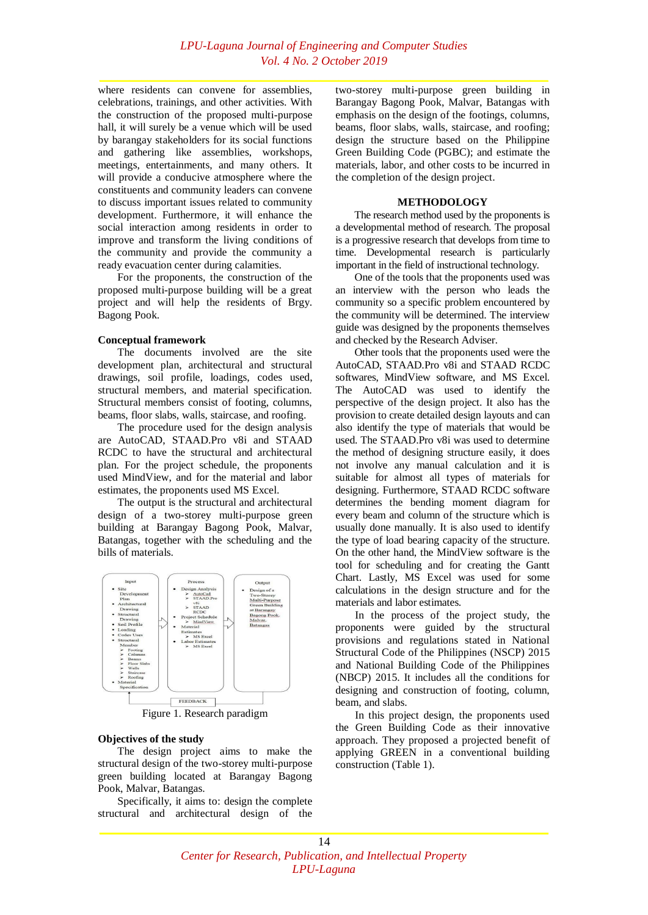where residents can convene for assemblies, celebrations, trainings, and other activities. With the construction of the proposed multi-purpose hall, it will surely be a venue which will be used by barangay stakeholders for its social functions and gathering like assemblies, workshops, meetings, entertainments, and many others. It will provide a conducive atmosphere where the constituents and community leaders can convene to discuss important issues related to community development. Furthermore, it will enhance the social interaction among residents in order to improve and transform the living conditions of the community and provide the community a ready evacuation center during calamities.

For the proponents, the construction of the proposed multi-purpose building will be a great project and will help the residents of Brgy. Bagong Pook.

## **Conceptual framework**

The documents involved are the site development plan, architectural and structural drawings, soil profile, loadings, codes used, structural members, and material specification. Structural members consist of footing, columns, beams, floor slabs, walls, staircase, and roofing.

The procedure used for the design analysis are AutoCAD, STAAD.Pro v8i and STAAD RCDC to have the structural and architectural plan. For the project schedule, the proponents used MindView, and for the material and labor estimates, the proponents used MS Excel.

The output is the structural and architectural design of a two-storey multi-purpose green building at Barangay Bagong Pook, Malvar, Batangas, together with the scheduling and the bills of materials.



Figure 1. Research paradigm

# **Objectives of the study**

The design project aims to make the structural design of the two-storey multi-purpose green building located at Barangay Bagong Pook, Malvar, Batangas.

Specifically, it aims to: design the complete structural and architectural design of the

two-storey multi-purpose green building in Barangay Bagong Pook, Malvar, Batangas with emphasis on the design of the footings, columns, beams, floor slabs, walls, staircase, and roofing; design the structure based on the Philippine Green Building Code (PGBC); and estimate the materials, labor, and other costs to be incurred in the completion of the design project.

## **METHODOLOGY**

The research method used by the proponents is a developmental method of research. The proposal is a progressive research that develops from time to time. Developmental research is particularly important in the field of instructional technology.

One of the tools that the proponents used was an interview with the person who leads the community so a specific problem encountered by the community will be determined. The interview guide was designed by the proponents themselves and checked by the Research Adviser.

Other tools that the proponents used were the AutoCAD, STAAD.Pro v8i and STAAD RCDC softwares, MindView software, and MS Excel. The AutoCAD was used to identify the perspective of the design project. It also has the provision to create detailed design layouts and can also identify the type of materials that would be used. The STAAD.Pro v8i was used to determine the method of designing structure easily, it does not involve any manual calculation and it is suitable for almost all types of materials for designing. Furthermore, STAAD RCDC software determines the bending moment diagram for every beam and column of the structure which is usually done manually. It is also used to identify the type of load bearing capacity of the structure. On the other hand, the MindView software is the tool for scheduling and for creating the Gantt Chart. Lastly, MS Excel was used for some calculations in the design structure and for the materials and labor estimates.

In the process of the project study, the proponents were guided by the structural provisions and regulations stated in National Structural Code of the Philippines (NSCP) 2015 and National Building Code of the Philippines (NBCP) 2015. It includes all the conditions for designing and construction of footing, column, beam, and slabs.

In this project design, the proponents used the Green Building Code as their innovative approach. They proposed a projected benefit of applying GREEN in a conventional building construction (Table 1).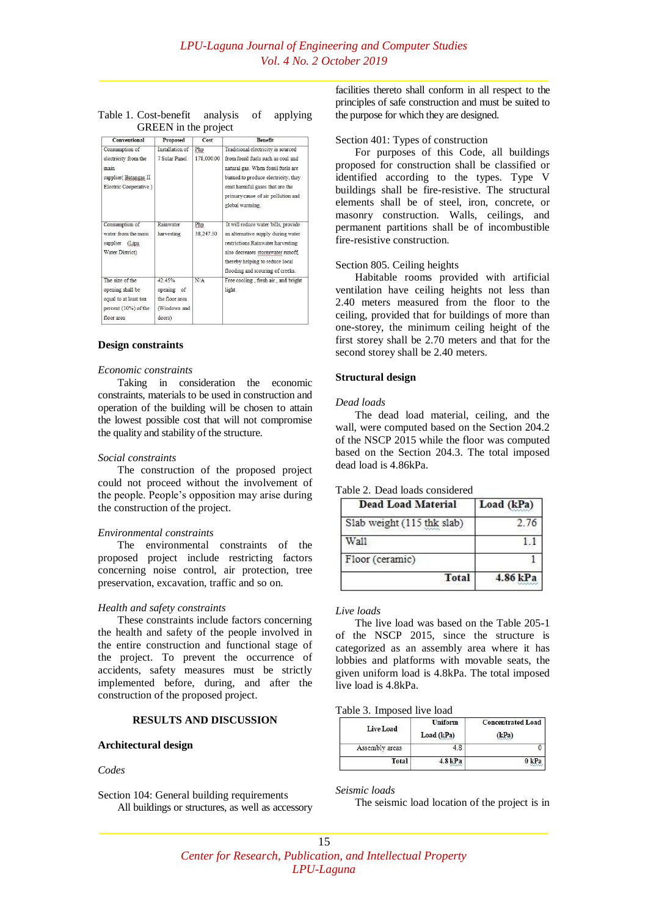# Table 1. Cost-benefit analysis of applying GREEN in the project

| Conventional                                                                                       | Proposed                                                         | Cost              | <b>Benefit</b>                                                                                                                                                                                                                                    |
|----------------------------------------------------------------------------------------------------|------------------------------------------------------------------|-------------------|---------------------------------------------------------------------------------------------------------------------------------------------------------------------------------------------------------------------------------------------------|
| Consumption of<br>electricity from the<br>main<br>supplier(Batangas II<br>Electric Cooperative)    | Installation of<br>7 Solar Panel                                 | Php<br>178,000.00 | Traditional electricity is sourced<br>from fossil fuels such as coal and<br>natural gas. When fossil fuels are<br>burned to produce electricity, they<br>emit harmful gases that are the<br>primary cause of air pollution and<br>global warming. |
| Consumption of<br>water from the main<br>supplier (Lipa<br>Water District)                         | Rainwater<br>harvesting                                          | Php<br>38,247.50  | It will reduce water bills, provide<br>an alternative supply during water<br>restrictions. Rainwater harvesting<br>also decreases stormwater runoff,<br>thereby helping to reduce local<br>flooding and scouring of creeks.                       |
| The size of the<br>opening shall be<br>equal to at least ten<br>percent (10%) of the<br>floor area | 42.45%<br>opening of<br>the floor area<br>(Windows and<br>doors) | N/A               | Free cooling, fresh air, and bright<br>light                                                                                                                                                                                                      |

#### **Design constraints**

#### *Economic constraints*

Taking in consideration the economic constraints, materials to be used in construction and operation of the building will be chosen to attain the lowest possible cost that will not compromise the quality and stability of the structure.

## *Social constraints*

The construction of the proposed project could not proceed without the involvement of the people. People's opposition may arise during the construction of the project.

#### *Environmental constraints*

The environmental constraints of the proposed project include restricting factors concerning noise control, air protection, tree preservation, excavation, traffic and so on.

#### *Health and safety constraints*

These constraints include factors concerning the health and safety of the people involved in the entire construction and functional stage of the project. To prevent the occurrence of accidents, safety measures must be strictly implemented before, during, and after the construction of the proposed project.

## **RESULTS AND DISCUSSION**

## **Architectural design**

#### *Codes*

Section 104: General building requirements All buildings or structures, as well as accessory facilities thereto shall conform in all respect to the principles of safe construction and must be suited to the purpose for which they are designed.

## Section 401: Types of construction

For purposes of this Code, all buildings proposed for construction shall be classified or identified according to the types. Type V buildings shall be fire-resistive. The structural elements shall be of steel, iron, concrete, or masonry construction. Walls, ceilings, and permanent partitions shall be of incombustible fire-resistive construction.

#### Section 805. Ceiling heights

Habitable rooms provided with artificial ventilation have ceiling heights not less than 2.40 meters measured from the floor to the ceiling, provided that for buildings of more than one-storey, the minimum ceiling height of the first storey shall be 2.70 meters and that for the second storey shall be 2.40 meters.

#### **Structural design**

## *Dead loads*

The dead load material, ceiling, and the wall, were computed based on the Section 204.2 of the NSCP 2015 while the floor was computed based on the Section 204.3. The total imposed dead load is 4.86kPa.

|  |  |  | Table 2. Dead loads considered |
|--|--|--|--------------------------------|
|--|--|--|--------------------------------|

| <b>Dead Load Material</b>  | Load (kPa) |
|----------------------------|------------|
| Slab weight (115 thk slab) | 2.76       |
| Wall                       |            |
| Floor (ceramic)            |            |
| Total                      | 4.86 kPa   |

# *Live loads*

The live load was based on the Table 205-1 of the NSCP 2015, since the structure is categorized as an assembly area where it has lobbies and platforms with movable seats, the given uniform load is 4.8kPa. The total imposed live load is 4.8kPa.

#### Table 3. Imposed live load

| Live Load      | Uniform<br>Load (kPa) | <b>Concentrated Load</b><br>(kPa) |
|----------------|-----------------------|-----------------------------------|
| Assembly areas | 4.8                   |                                   |
| Total          | 8kPa                  |                                   |

*Seismic loads*

The seismic load location of the project is in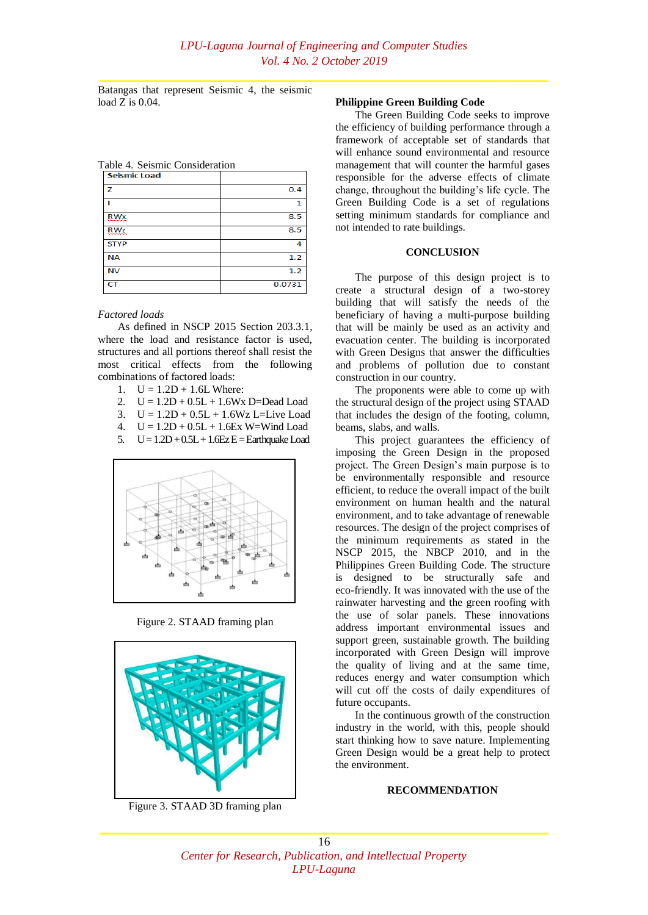Batangas that represent Seismic 4, the seismic load Z is 0.04.

Table 4. Seismic Consideration

| <b>Seismic Load</b> |        |
|---------------------|--------|
| z                   | 0.4    |
|                     | 1      |
| RMX                 | 8.5    |
| <b>RWz</b><br>mmm   | 8.5    |
| <b>STYP</b>         | 4      |
| <b>NA</b>           | 1.2    |
| NV                  | 1.2    |
| CT                  | 0.0731 |

## *Factored loads*

As defined in NSCP 2015 Section 203.3.1, where the load and resistance factor is used, structures and all portions thereof shall resist the most critical effects from the following combinations of factored loads:

- 1.  $U = 1.2D + 1.6L$  Where:
- 2.  $U = 1.2D + 0.5L + 1.6Wx$  D=Dead Load
- 3.  $U = 1.2D + 0.5L + 1.6Wz$  L=Live Load
- 4.  $U = 1.2D + 0.5L + 1.6Ex$  W=Wind Load
- 5.  $U = 1.2D + 0.5L + 1.6EZE =$ Earthquake Load



Figure 2. STAAD framing plan



Figure 3. STAAD 3D framing plan

# **Philippine Green Building Code**

The Green Building Code seeks to improve the efficiency of building performance through a framework of acceptable set of standards that will enhance sound environmental and resource management that will counter the harmful gases responsible for the adverse effects of climate change, throughout the building's life cycle. The Green Building Code is a set of regulations setting minimum standards for compliance and not intended to rate buildings.

#### **CONCLUSION**

The purpose of this design project is to create a structural design of a two-storey building that will satisfy the needs of the beneficiary of having a multi-purpose building that will be mainly be used as an activity and evacuation center. The building is incorporated with Green Designs that answer the difficulties and problems of pollution due to constant construction in our country.

The proponents were able to come up with the structural design of the project using STAAD that includes the design of the footing, column, beams, slabs, and walls.

This project guarantees the efficiency of imposing the Green Design in the proposed project. The Green Design's main purpose is to be environmentally responsible and resource efficient, to reduce the overall impact of the built environment on human health and the natural environment, and to take advantage of renewable resources. The design of the project comprises of the minimum requirements as stated in the NSCP 2015, the NBCP 2010, and in the Philippines Green Building Code. The structure is designed to be structurally safe and eco-friendly. It was innovated with the use of the rainwater harvesting and the green roofing with the use of solar panels. These innovations address important environmental issues and support green, sustainable growth. The building incorporated with Green Design will improve the quality of living and at the same time, reduces energy and water consumption which will cut off the costs of daily expenditures of future occupants.

In the continuous growth of the construction industry in the world, with this, people should start thinking how to save nature. Implementing Green Design would be a great help to protect the environment.

## **RECOMMENDATION**

# 16 *Center for Research, Publication, and Intellectual Property LPU-Laguna*